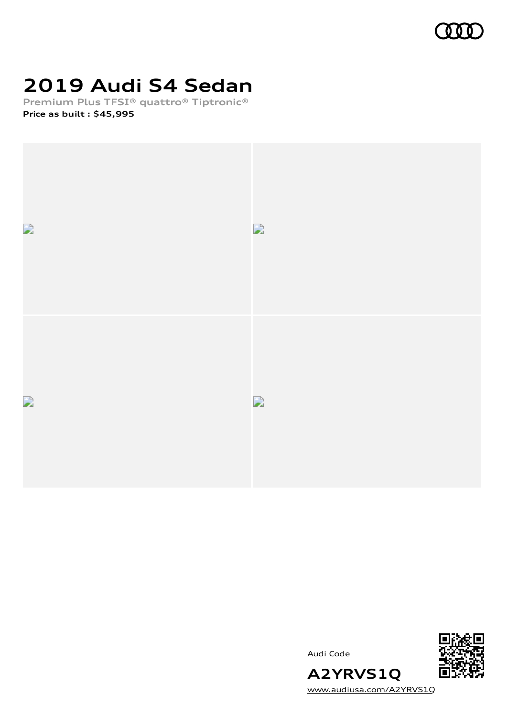

# **2019 Audi S4 Sedan**

**Premium Plus TFSI® quattro® Tiptronic® Price as built [:](#page-8-0) \$45,995**





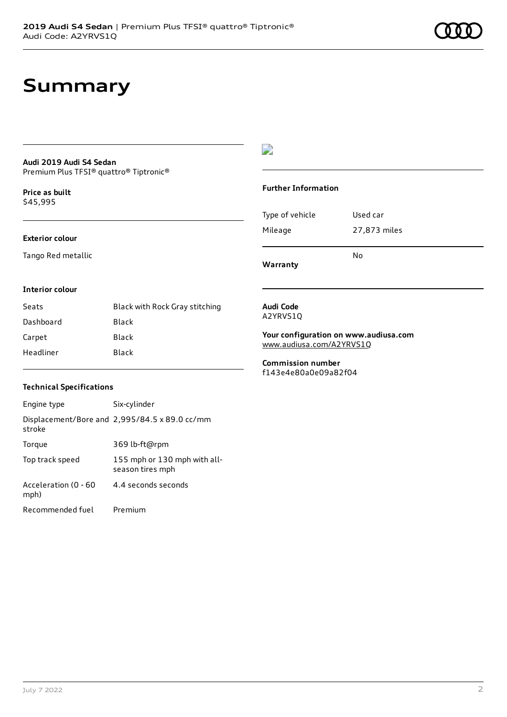### **Summary**

### **Audi 2019 Audi S4 Sedan**

Premium Plus TFSI® quattro® Tiptronic®

**Price as buil[t](#page-8-0)** \$45,995

#### **Exterior colour**

Tango Red metallic

#### $\overline{\phantom{a}}$

#### **Further Information**

|                 | N٥           |
|-----------------|--------------|
| Mileage         | 27,873 miles |
| Type of vehicle | Used car     |

**Warranty**

#### **Interior colour**

| Seats     | Black with Rock Gray stitching |
|-----------|--------------------------------|
| Dashboard | Black                          |
| Carpet    | Black                          |
| Headliner | Black                          |

#### **Audi Code** A2YRVS1Q

**Your configuration on www.audiusa.com**

[www.audiusa.com/A2YRVS1Q](https://www.audiusa.com/A2YRVS1Q)

**Commission number** f143e4e80a0e09a82f04

#### **Technical Specifications**

| Engine type                  | Six-cylinder                                     |
|------------------------------|--------------------------------------------------|
| stroke                       | Displacement/Bore and 2,995/84.5 x 89.0 cc/mm    |
| Torque                       | 369 lb-ft@rpm                                    |
| Top track speed              | 155 mph or 130 mph with all-<br>season tires mph |
| Acceleration (0 - 60<br>mph) | 4.4 seconds seconds                              |
| Recommended fuel             | Premium                                          |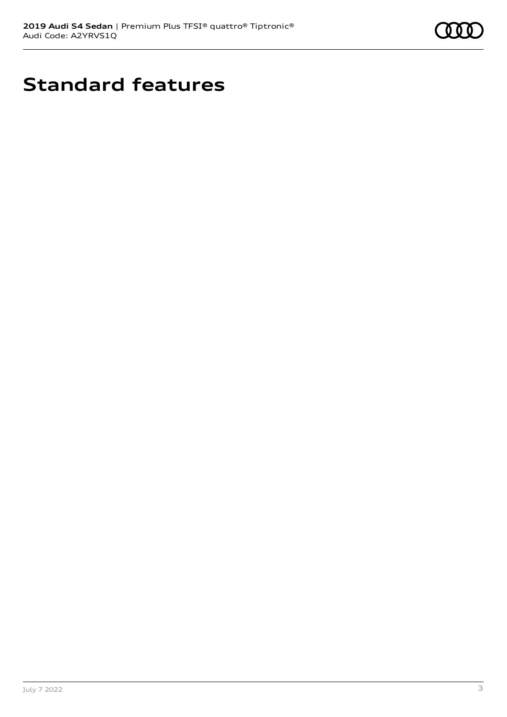

# **Standard features**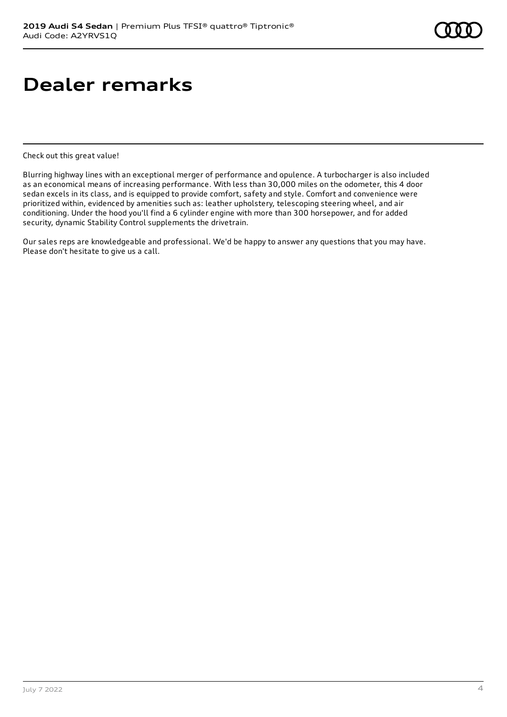### **Dealer remarks**

Check out this great value!

Blurring highway lines with an exceptional merger of performance and opulence. A turbocharger is also included as an economical means of increasing performance. With less than 30,000 miles on the odometer, this 4 door sedan excels in its class, and is equipped to provide comfort, safety and style. Comfort and convenience were prioritized within, evidenced by amenities such as: leather upholstery, telescoping steering wheel, and air conditioning. Under the hood you'll find a 6 cylinder engine with more than 300 horsepower, and for added security, dynamic Stability Control supplements the drivetrain.

Our sales reps are knowledgeable and professional. We'd be happy to answer any questions that you may have. Please don't hesitate to give us a call.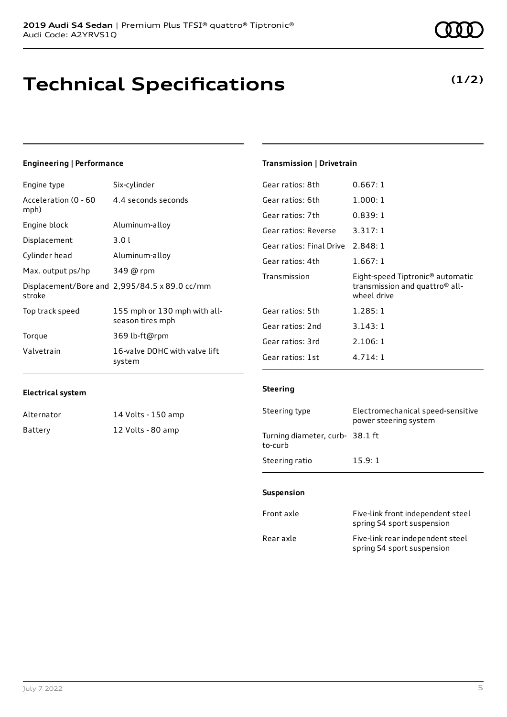# **Technical Specifications**

### **Engineering | Performance**

| Engine type                  | Six-cylinder                                     |
|------------------------------|--------------------------------------------------|
| Acceleration (0 - 60<br>mph) | 4.4 seconds seconds                              |
| Engine block                 | Aluminum-alloy                                   |
| Displacement                 | 3.01                                             |
| Cylinder head                | Aluminum-alloy                                   |
| Max. output ps/hp            | 349 @ rpm                                        |
| stroke                       | Displacement/Bore and 2,995/84.5 x 89.0 cc/mm    |
| Top track speed              | 155 mph or 130 mph with all-<br>season tires mph |
| Torque                       | 369 lb-ft@rpm                                    |
| Valvetrain                   | 16-valve DOHC with valve lift<br>system          |

### **Transmission | Drivetrain**

| Gear ratios: 8th                  | 0.667:1                                                                                                   |
|-----------------------------------|-----------------------------------------------------------------------------------------------------------|
| Gear ratios: 6th                  | 1.000:1                                                                                                   |
| Gear ratios: 7th                  | 0.839:1                                                                                                   |
| Gear ratios: Reverse              | 3.317:1                                                                                                   |
| Gear ratios: Final Drive 2.848: 1 |                                                                                                           |
| Gear ratios: 4th                  | 1.667:1                                                                                                   |
|                                   |                                                                                                           |
| Transmission                      | Eight-speed Tiptronic <sup>®</sup> automatic<br>transmission and quattro <sup>®</sup> all-<br>wheel drive |
| Gear ratios: 5th                  | 1.285:1                                                                                                   |
| Gear ratios: 2nd                  | 3.143:1                                                                                                   |
| Gear ratios: 3rd                  | 2.106:1                                                                                                   |

#### **Electrical system**

| Alternator | 14 Volts - 150 amp |
|------------|--------------------|
| Battery    | 12 Volts - 80 amp  |

#### **Steering**

| Steering type                             | Electromechanical speed-sensitive<br>power steering system |
|-------------------------------------------|------------------------------------------------------------|
| Turning diameter, curb-38.1 ft<br>to-curb |                                                            |
| Steering ratio                            | 15.9:1                                                     |

#### **Suspension**

| Front axle | Five-link front independent steel<br>spring S4 sport suspension |
|------------|-----------------------------------------------------------------|
| Rear axle  | Five-link rear independent steel<br>spring S4 sport suspension  |

### **(1/2)**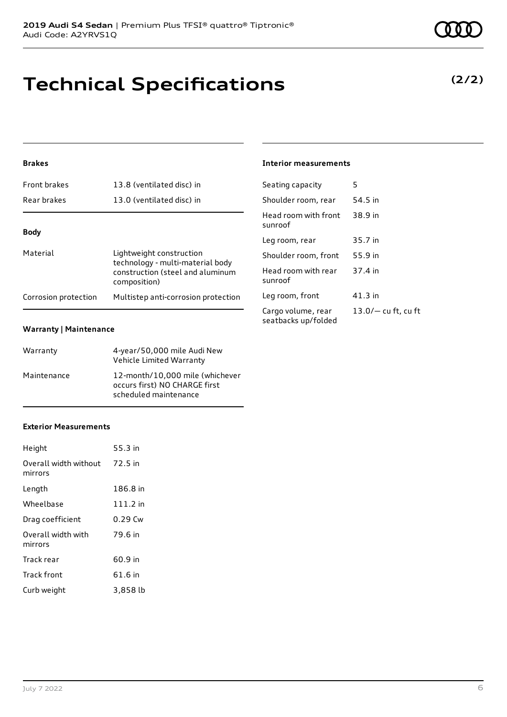Audi Code: A2YRVS1Q

### **Technical Specifications**

**2019 Audi S4 Sedan** | Premium Plus TFSI® quattro® Tiptronic®

### **Brakes**

| <b>Front brakes</b>  | 13.8 (ventilated disc) in                                                                                        |
|----------------------|------------------------------------------------------------------------------------------------------------------|
| Rear brakes          | 13.0 (ventilated disc) in                                                                                        |
|                      |                                                                                                                  |
| <b>Body</b>          |                                                                                                                  |
| Material             | Lightweight construction<br>technology - multi-material body<br>construction (steel and aluminum<br>composition) |
| Corrosion protection | Multistep anti-corrosion protection                                                                              |

#### **Warranty | Maintenance**

| Warranty    | 4-year/50,000 mile Audi New<br>Vehicle Limited Warranty                                   |
|-------------|-------------------------------------------------------------------------------------------|
| Maintenance | 12-month/10,000 mile (whichever<br>occurs first) NO CHARGE first<br>scheduled maintenance |

#### **Exterior Measurements**

| Height                           | 55.3 in  |
|----------------------------------|----------|
| Overall width without<br>mirrors | 72.5 in  |
| Length                           | 186.8 in |
| Wheelbase                        | 111.2 in |
| Drag coefficient                 | 0.29 Cw  |
| Overall width with<br>mirrors    | 79.6 in  |
| Track rear                       | 60.9 in  |
| Track front                      | 61.6 in  |
| Curb weight                      | 3,858 lb |

| <b>Interior measurements</b> |
|------------------------------|
|------------------------------|

| Seating capacity                          | 5                     |
|-------------------------------------------|-----------------------|
| Shoulder room, rear                       | 54.5 in               |
| Head room with front<br>sunroof           | 38.9 in               |
| Leg room, rear                            | 35.7 in               |
| Shoulder room, front                      | 55.9 in               |
| Head room with rear<br>sunroof            | 37.4 in               |
| Leg room, front                           | $41.3$ in             |
| Cargo volume, rear<br>seatbacks up/folded | $13.0/-$ cu ft, cu ft |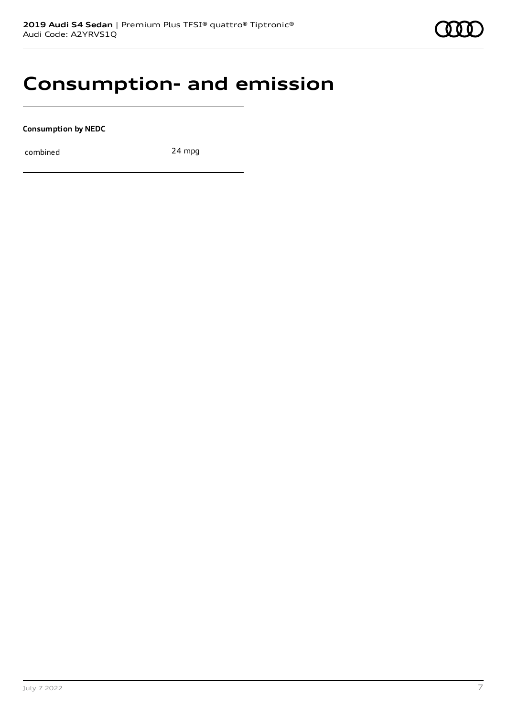### **Consumption- and emission**

**Consumption by NEDC**

combined 24 mpg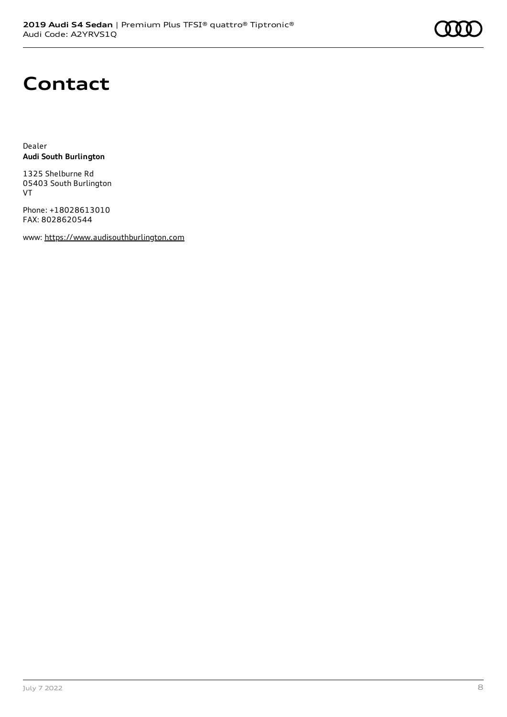# **Contact**

Dealer **Audi South Burlington**

1325 Shelburne Rd 05403 South Burlington VT

Phone: +18028613010 FAX: 8028620544

www: [https://www.audisouthburlington.com](https://www.audisouthburlington.com/)